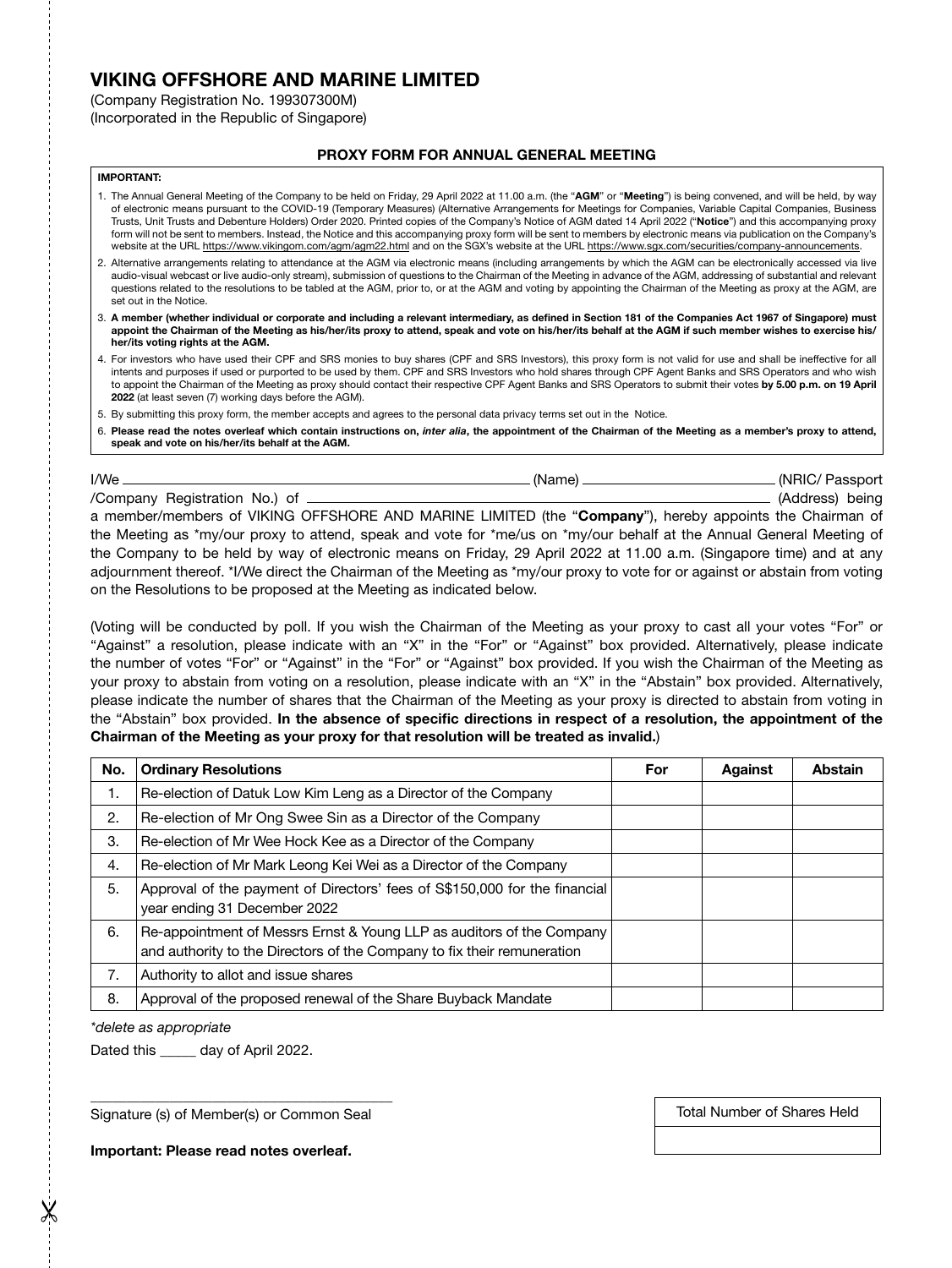# VIKING OFFSHORE AND MARINE LIMITED

(Company Registration No. 199307300M)

(Incorporated in the Republic of Singapore)

## PROXY FORM FOR ANNUAL GENERAL MEETING

#### IMPORTANT:

- 1. The Annual General Meeting of the Company to be held on Friday, 29 April 2022 at 11.00 a.m. (the "AGM" or "Meeting") is being convened, and will be held, by way of electronic means pursuant to the COVID-19 (Temporary Measures) (Alternative Arrangements for Meetings for Companies, Variable Capital Companies, Business Trusts, Unit Trusts and Debenture Holders) Order 2020. Printed copies of the Company's Notice of AGM dated 14 April 2022 ("Notice") and this accompanying proxy form will not be sent to members. Instead, the Notice and this accompanying proxy form will be sent to members by electronic means via publication on the Company's website at the URL https://www.vikingom.com/agm/agm22.html and on the SGX's website at the URL https://www.sgx.com/securities/company-announcements.
- 2. Alternative arrangements relating to attendance at the AGM via electronic means (including arrangements by which the AGM can be electronically accessed via live audio-visual webcast or live audio-only stream), submission of questions to the Chairman of the Meeting in advance of the AGM, addressing of substantial and relevant questions related to the resolutions to be tabled at the AGM, prior to, or at the AGM and voting by appointing the Chairman of the Meeting as proxy at the AGM, are set out in the Notice.
- 3. A member (whether individual or corporate and including a relevant intermediary, as defined in Section 181 of the Companies Act 1967 of Singapore) must appoint the Chairman of the Meeting as his/her/its proxy to attend, speak and vote on his/her/its behalf at the AGM if such member wishes to exercise his/ her/its voting rights at the AGM.
- 4. For investors who have used their CPF and SRS monies to buy shares (CPF and SRS Investors), this proxy form is not valid for use and shall be ineffective for all intents and purposes if used or purported to be used by them. CPF and SRS Investors who hold shares through CPF Agent Banks and SRS Operators and who wish to appoint the Chairman of the Meeting as proxy should contact their respective CPF Agent Banks and SRS Operators to submit their votes by 5.00 p.m. on 19 April 2022 (at least seven (7) working days before the AGM).
- 5. By submitting this proxy form, the member accepts and agrees to the personal data privacy terms set out in the Notice.
- 6. Please read the notes overleaf which contain instructions on, *inter alia*, the appointment of the Chairman of the Meeting as a member's proxy to attend, speak and vote on his/her/its behalf at the AGM.

I/We (Name) (NRIC/ Passport /Company Registration No.) of  $\_\_\_\_\_\_\_\_\$ a member/members of VIKING OFFSHORE AND MARINE LIMITED (the "Company"), hereby appoints the Chairman of the Meeting as \*my/our proxy to attend, speak and vote for \*me/us on \*my/our behalf at the Annual General Meeting of the Company to be held by way of electronic means on Friday, 29 April 2022 at 11.00 a.m. (Singapore time) and at any adjournment thereof. \*I/We direct the Chairman of the Meeting as \*my/our proxy to vote for or against or abstain from voting on the Resolutions to be proposed at the Meeting as indicated below.

(Voting will be conducted by poll. If you wish the Chairman of the Meeting as your proxy to cast all your votes "For" or "Against" a resolution, please indicate with an "X" in the "For" or "Against" box provided. Alternatively, please indicate the number of votes "For" or "Against" in the "For" or "Against" box provided. If you wish the Chairman of the Meeting as your proxy to abstain from voting on a resolution, please indicate with an "X" in the "Abstain" box provided. Alternatively, please indicate the number of shares that the Chairman of the Meeting as your proxy is directed to abstain from voting in the "Abstain" box provided. In the absence of specific directions in respect of a resolution, the appointment of the Chairman of the Meeting as your proxy for that resolution will be treated as invalid.)

| No. | <b>Ordinary Resolutions</b>                                                                                                                      | For | Against | Abstain |
|-----|--------------------------------------------------------------------------------------------------------------------------------------------------|-----|---------|---------|
| 1.  | Re-election of Datuk Low Kim Leng as a Director of the Company                                                                                   |     |         |         |
| 2.  | Re-election of Mr Ong Swee Sin as a Director of the Company                                                                                      |     |         |         |
| 3.  | Re-election of Mr Wee Hock Kee as a Director of the Company                                                                                      |     |         |         |
| 4.  | Re-election of Mr Mark Leong Kei Wei as a Director of the Company                                                                                |     |         |         |
| 5.  | Approval of the payment of Directors' fees of S\$150,000 for the financial<br>year ending 31 December 2022                                       |     |         |         |
| 6.  | Re-appointment of Messrs Ernst & Young LLP as auditors of the Company<br>and authority to the Directors of the Company to fix their remuneration |     |         |         |
| 7.  | Authority to allot and issue shares                                                                                                              |     |         |         |
| 8.  | Approval of the proposed renewal of the Share Buyback Mandate                                                                                    |     |         |         |

*\*delete as appropriate*

Dated this \_\_\_\_\_ day of April 2022.

\_\_\_\_\_\_\_\_\_\_\_\_\_\_\_\_\_\_\_\_\_\_\_\_\_\_\_\_\_\_\_\_\_\_\_\_\_\_\_\_\_\_ Signature (s) of Member(s) or Common Seal

Total Number of Shares Held

Important: Please read notes overleaf.